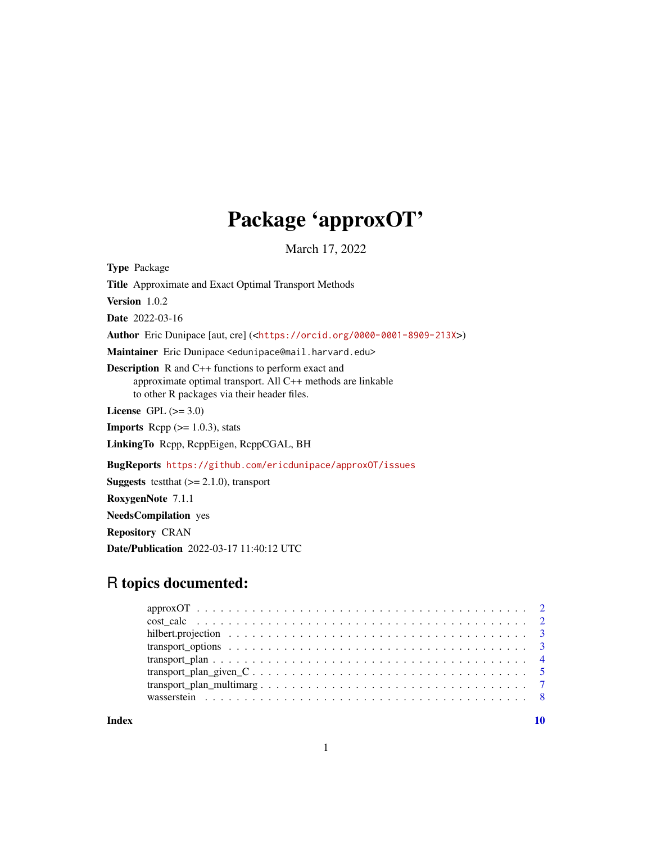## Package 'approxOT'

March 17, 2022

Type Package Title Approximate and Exact Optimal Transport Methods Version 1.0.2 Date 2022-03-16 Author Eric Dunipace [aut, cre] (<<https://orcid.org/0000-0001-8909-213X>>) Maintainer Eric Dunipace <edunipace@mail.harvard.edu> Description R and C++ functions to perform exact and approximate optimal transport. All C++ methods are linkable to other R packages via their header files. License GPL  $(>= 3.0)$ **Imports** Rcpp  $(>= 1.0.3)$ , stats LinkingTo Rcpp, RcppEigen, RcppCGAL, BH BugReports <https://github.com/ericdunipace/approxOT/issues> **Suggests** testthat  $(>= 2.1.0)$ , transport RoxygenNote 7.1.1 NeedsCompilation yes Repository CRAN

### R topics documented:

Date/Publication 2022-03-17 11:40:12 UTC

 $\blacksquare$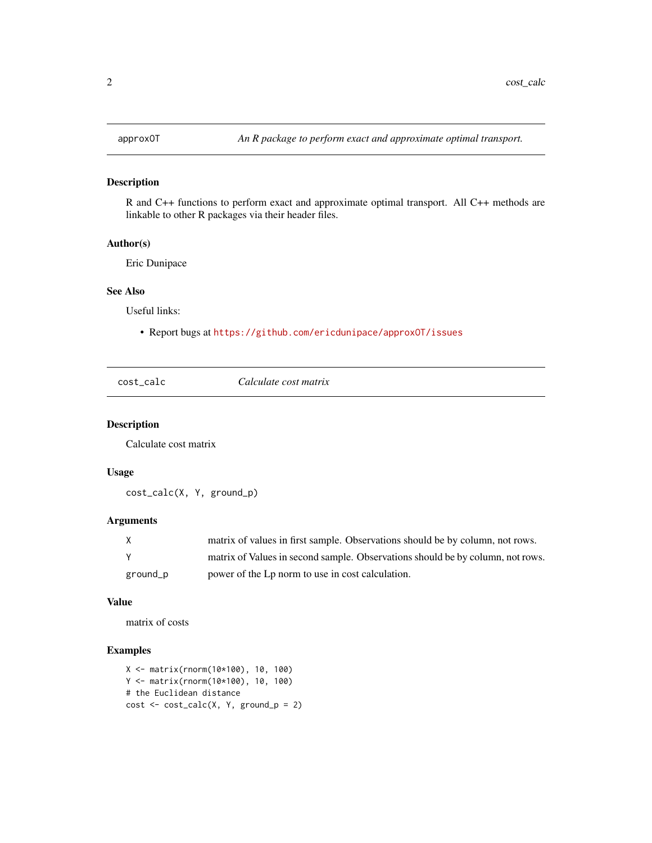#### <span id="page-1-0"></span>Description

R and C++ functions to perform exact and approximate optimal transport. All C++ methods are linkable to other R packages via their header files.

#### Author(s)

Eric Dunipace

#### See Also

Useful links:

• Report bugs at <https://github.com/ericdunipace/approxOT/issues>

| Calculate cost matrix |
|-----------------------|
|-----------------------|

#### Description

Calculate cost matrix

#### Usage

cost\_calc(X, Y, ground\_p)

#### Arguments

| X        | matrix of values in first sample. Observations should be by column, not rows.  |
|----------|--------------------------------------------------------------------------------|
|          | matrix of Values in second sample. Observations should be by column, not rows. |
| ground_p | power of the L <sub>p</sub> norm to use in cost calculation.                   |

#### Value

matrix of costs

```
X <- matrix(rnorm(10*100), 10, 100)
Y <- matrix(rnorm(10*100), 10, 100)
# the Euclidean distance
cost \leq cost\_calc(X, Y, ground_p = 2)
```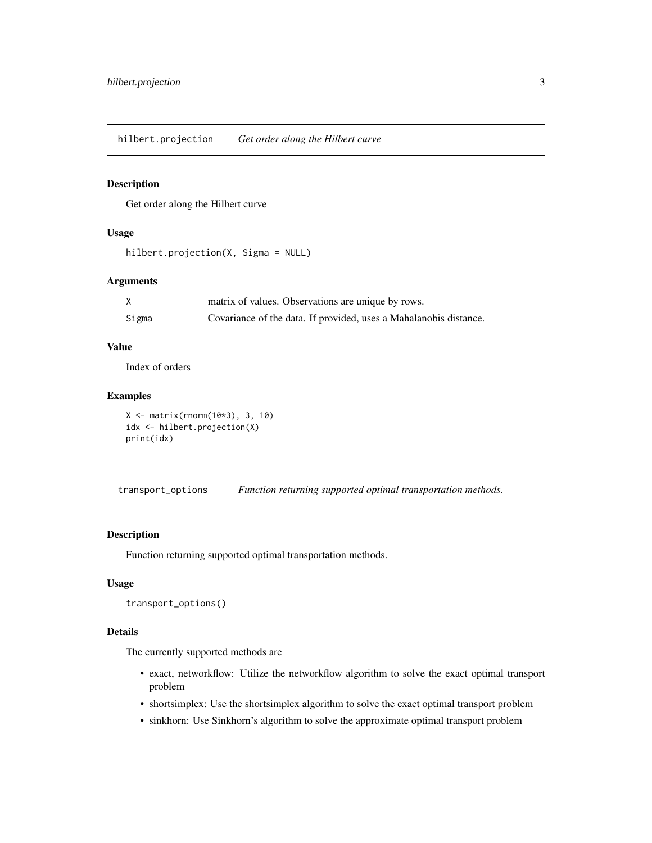<span id="page-2-0"></span>hilbert.projection *Get order along the Hilbert curve*

#### Description

Get order along the Hilbert curve

#### Usage

```
hilbert.projection(X, Sigma = NULL)
```
#### Arguments

|       | matrix of values. Observations are unique by rows.                |
|-------|-------------------------------------------------------------------|
| Sigma | Covariance of the data. If provided, uses a Mahalanobis distance. |

#### Value

Index of orders

#### Examples

```
X <- matrix(rnorm(10*3), 3, 10)
idx <- hilbert.projection(X)
print(idx)
```
transport\_options *Function returning supported optimal transportation methods.*

#### Description

Function returning supported optimal transportation methods.

#### Usage

```
transport_options()
```
#### Details

The currently supported methods are

- exact, networkflow: Utilize the networkflow algorithm to solve the exact optimal transport problem
- shortsimplex: Use the shortsimplex algorithm to solve the exact optimal transport problem
- sinkhorn: Use Sinkhorn's algorithm to solve the approximate optimal transport problem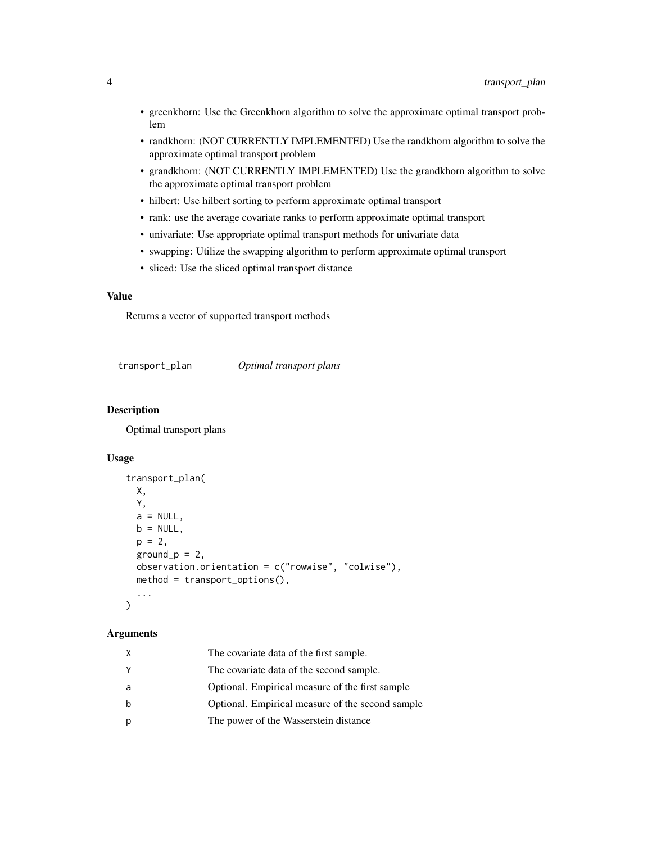- <span id="page-3-0"></span>• greenkhorn: Use the Greenkhorn algorithm to solve the approximate optimal transport problem
- randkhorn: (NOT CURRENTLY IMPLEMENTED) Use the randkhorn algorithm to solve the approximate optimal transport problem
- grandkhorn: (NOT CURRENTLY IMPLEMENTED) Use the grandkhorn algorithm to solve the approximate optimal transport problem
- hilbert: Use hilbert sorting to perform approximate optimal transport
- rank: use the average covariate ranks to perform approximate optimal transport
- univariate: Use appropriate optimal transport methods for univariate data
- swapping: Utilize the swapping algorithm to perform approximate optimal transport
- sliced: Use the sliced optimal transport distance

#### Value

Returns a vector of supported transport methods

transport\_plan *Optimal transport plans*

#### Description

Optimal transport plans

#### Usage

```
transport_plan(
 X,
 Y,
 a = NULL,b = NULL,p = 2,
 ground_p = 2,
 observation.orientation = c("rowwise", "colwise"),
 method = transport_options(),
  ...
\mathcal{L}
```
#### Arguments

| Χ | The covariate data of the first sample.          |
|---|--------------------------------------------------|
| Υ | The covariate data of the second sample.         |
| a | Optional. Empirical measure of the first sample  |
| h | Optional. Empirical measure of the second sample |
| р | The power of the Wasserstein distance            |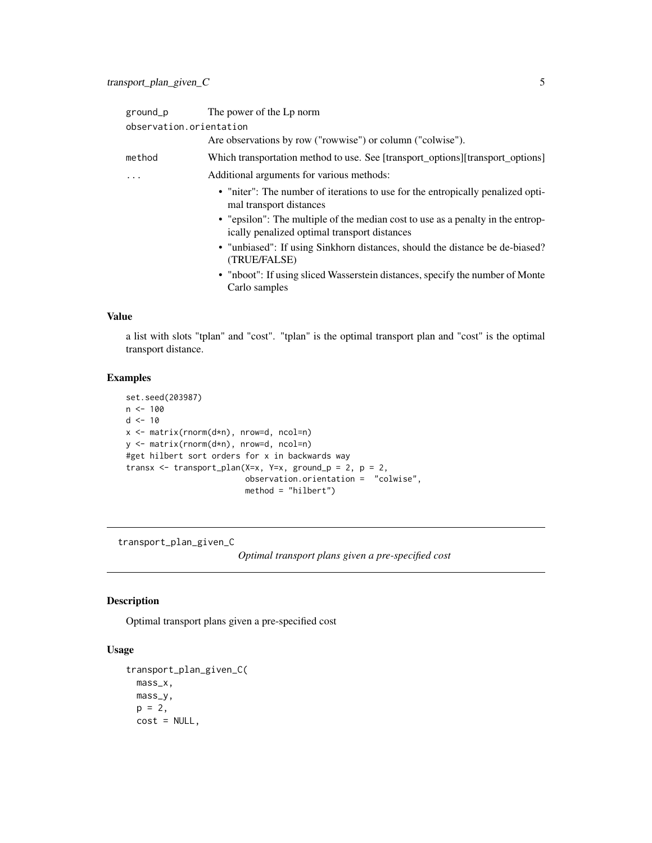<span id="page-4-0"></span>

| ground_p                | The power of the Lp norm                                                                                                        |
|-------------------------|---------------------------------------------------------------------------------------------------------------------------------|
| observation.orientation |                                                                                                                                 |
|                         | Are observations by row ("rowwise") or column ("colwise").                                                                      |
| method                  | Which transportation method to use. See [transport_options] [transport_options]                                                 |
| $\cdots$                | Additional arguments for various methods:                                                                                       |
|                         | • "niter": The number of iterations to use for the entropically penalized opti-<br>mal transport distances                      |
|                         | • "epsilon": The multiple of the median cost to use as a penalty in the entrop-<br>ically penalized optimal transport distances |
|                         | • "unbiased": If using Sinkhorn distances, should the distance be de-biased?<br>(TRUE/FALSE)                                    |
|                         | • "nboot": If using sliced Wasserstein distances, specify the number of Monte<br>Carlo samples                                  |

#### Value

a list with slots "tplan" and "cost". "tplan" is the optimal transport plan and "cost" is the optimal transport distance.

#### Examples

```
set.seed(203987)
n < - 100d <- 10
x <- matrix(rnorm(d*n), nrow=d, ncol=n)
y <- matrix(rnorm(d*n), nrow=d, ncol=n)
#get hilbert sort orders for x in backwards way
transx <- transport_plan(X=x, Y=x, ground_p = 2, p = 2,
                         observation.orientation = "colwise",
                         method = "hilbert")
```
transport\_plan\_given\_C

*Optimal transport plans given a pre-specified cost*

#### Description

Optimal transport plans given a pre-specified cost

#### Usage

```
transport_plan_given_C(
 mass_x,
 mass_y,
 p = 2,
 cost = NULL,
```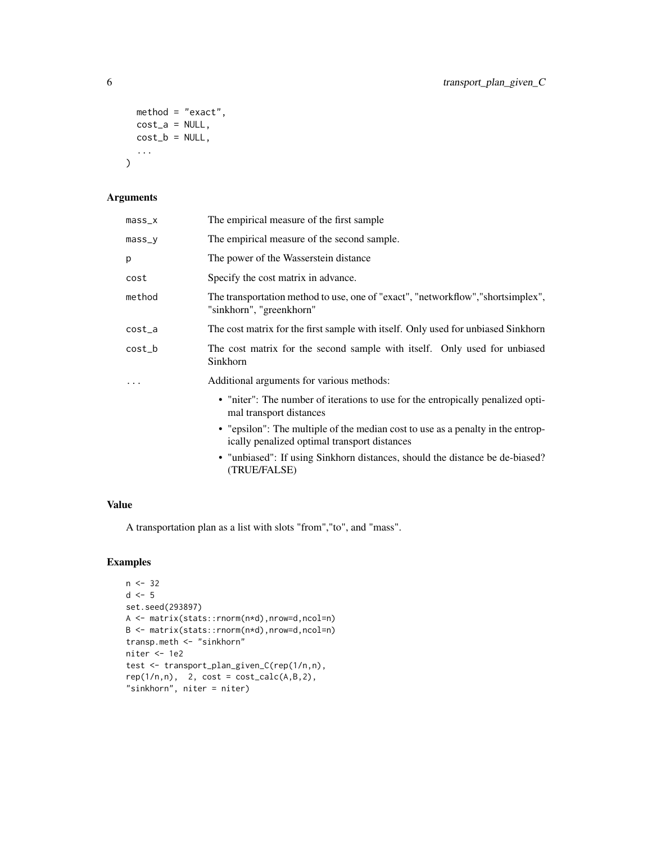```
method = "exact",
 cost_a = NULL,cost_b = NULL,...
\mathcal{L}
```
#### Arguments

| mass_x | The empirical measure of the first sample                                                                                       |
|--------|---------------------------------------------------------------------------------------------------------------------------------|
| mass_y | The empirical measure of the second sample.                                                                                     |
| p      | The power of the Wasserstein distance                                                                                           |
| cost   | Specify the cost matrix in advance.                                                                                             |
| method | The transportation method to use, one of "exact", "networkflow", "shortsimplex",<br>"sinkhorn", "greenkhorn"                    |
| cost_a | The cost matrix for the first sample with itself. Only used for unbiased Sinkhorn                                               |
| cost_b | The cost matrix for the second sample with itself. Only used for unbiased<br>Sinkhorn                                           |
| .      | Additional arguments for various methods:                                                                                       |
|        | • "niter": The number of iterations to use for the entropically penalized opti-<br>mal transport distances                      |
|        | • "epsilon": The multiple of the median cost to use as a penalty in the entrop-<br>ically penalized optimal transport distances |
|        | • "unbiased": If using Sinkhorn distances, should the distance be de-biased?<br>(TRUE/FALSE)                                    |

#### Value

A transportation plan as a list with slots "from","to", and "mass".

```
n < -32d \leq -5set.seed(293897)
A <- matrix(stats::rnorm(n*d),nrow=d,ncol=n)
B <- matrix(stats::rnorm(n*d),nrow=d,ncol=n)
transp.meth <- "sinkhorn"
niter <- 1e2
test <- transport_plan_given_C(rep(1/n,n),
rep(1/n,n), 2, cost = cost\_calc(A,B,2),
"sinkhorn", niter = niter)
```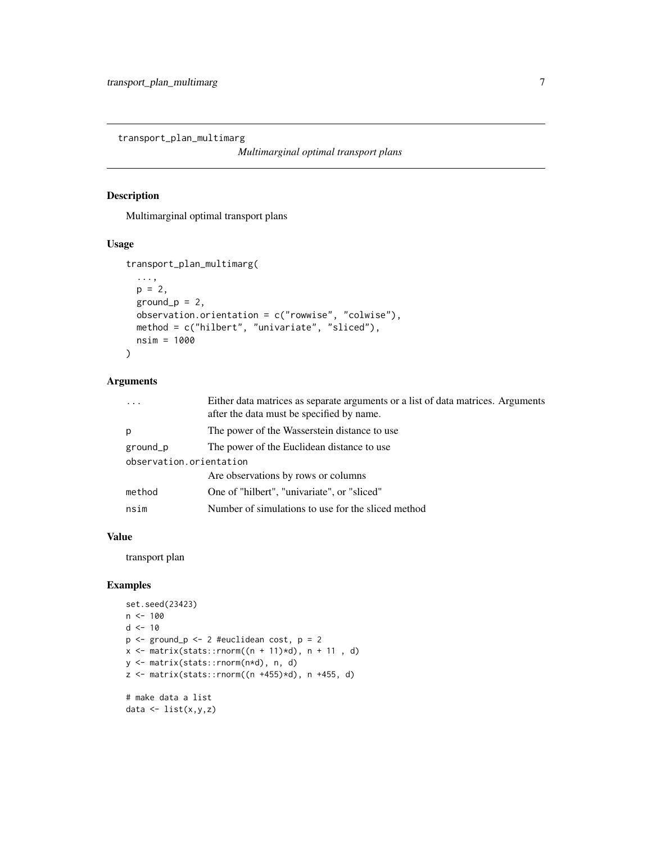<span id="page-6-0"></span>transport\_plan\_multimarg

*Multimarginal optimal transport plans*

#### Description

Multimarginal optimal transport plans

#### Usage

```
transport_plan_multimarg(
  ...,
 p = 2,
 ground_p = 2,
 observation.orientation = c("rowwise", "colwise"),
 method = c("hilbert", "univariate", "sliced"),
 nsim = 1000
\mathcal{L}
```
#### Arguments

| $\ddots$                | Either data matrices as separate arguments or a list of data matrices. Arguments<br>after the data must be specified by name. |  |
|-------------------------|-------------------------------------------------------------------------------------------------------------------------------|--|
| p                       | The power of the Wasserstein distance to use                                                                                  |  |
| ground_p                | The power of the Euclidean distance to use                                                                                    |  |
| observation.orientation |                                                                                                                               |  |
|                         | Are observations by rows or columns                                                                                           |  |
| method                  | One of "hilbert", "univariate", or "sliced"                                                                                   |  |
| nsim                    | Number of simulations to use for the sliced method                                                                            |  |
|                         |                                                                                                                               |  |

#### Value

transport plan

```
set.seed(23423)
n < - 100d < -10p <- ground_p <- 2 #euclidean cost, p = 2
x \le matrix(stats::rnorm((n + 11)*d), n + 11, d)
y <- matrix(stats::rnorm(n*d), n, d)
z <- matrix(stats::rnorm((n +455)*d), n +455, d)
# make data a list
data \leftarrow list(x, y, z)
```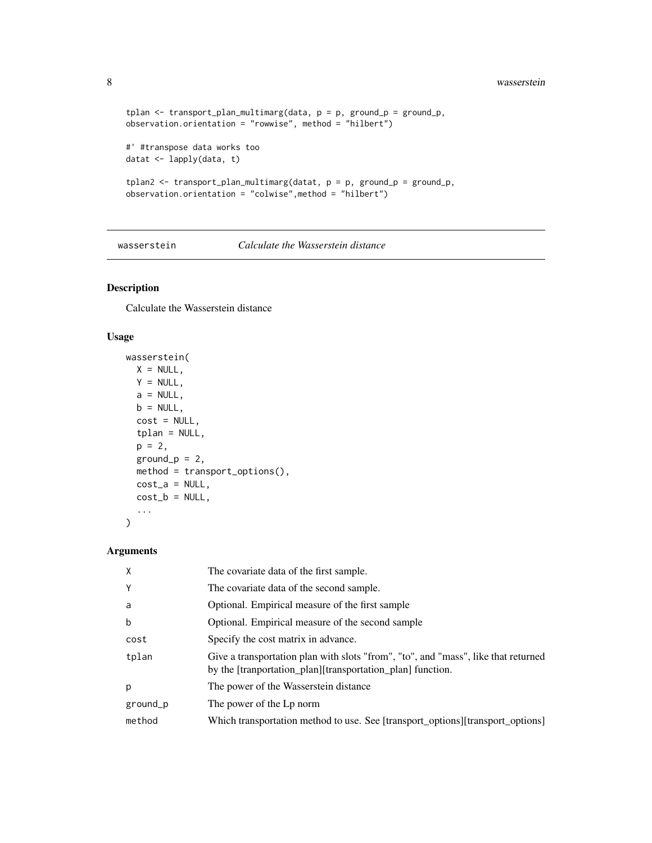#### 8 wasserstein and the set of the set of the set of the set of the set of the set of the set of the set of the set of the set of the set of the set of the set of the set of the set of the set of the set of the set of the se

```
tplan \leq transport_plan_multimarg(data, p = p, ground_p = ground_p,
observation.orientation = "rowwise", method = "hilbert")
#' #transpose data works too
datat <- lapply(data, t)
tplan2 < -transport\_plan\_multimarg(data, p = p, ground_p = ground_p,observation.orientation = "colwise",method = "hilbert")
```
wasserstein *Calculate the Wasserstein distance*

#### Description

Calculate the Wasserstein distance

#### Usage

```
wasserstein(
 X = NULL,Y = NULL,a = NULL,b = NULL,cost = NULL,tplan = NULL,
 p = 2,
 ground_p = 2,
 method = transport_options(),
 cost_a = NULL,cost_b = NULL,...
\mathcal{L}
```
#### Arguments

| X        | The covariate data of the first sample.                                                                                                          |
|----------|--------------------------------------------------------------------------------------------------------------------------------------------------|
| Y        | The covariate data of the second sample.                                                                                                         |
| a        | Optional. Empirical measure of the first sample                                                                                                  |
| b        | Optional. Empirical measure of the second sample                                                                                                 |
| cost     | Specify the cost matrix in advance.                                                                                                              |
| tplan    | Give a transportation plan with slots "from", "to", and "mass", like that returned<br>by the [tranportation_plan][transportation_plan] function. |
| p        | The power of the Wasserstein distance                                                                                                            |
| ground_p | The power of the Lp norm                                                                                                                         |
| method   | Which transportation method to use. See [transport_options] [transport_options]                                                                  |

<span id="page-7-0"></span>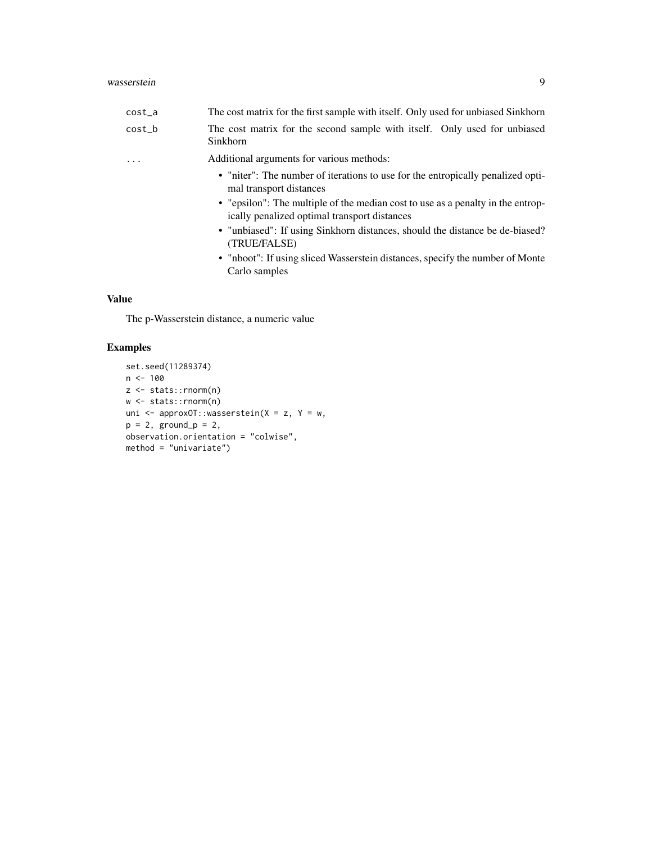| The cost matrix for the first sample with itself. Only used for unbiased Sinkhorn                                               |
|---------------------------------------------------------------------------------------------------------------------------------|
| The cost matrix for the second sample with itself. Only used for unbiased<br>Sinkhorn                                           |
| Additional arguments for various methods:                                                                                       |
| • "niter": The number of iterations to use for the entropically penalized opti-<br>mal transport distances                      |
| • "epsilon": The multiple of the median cost to use as a penalty in the entrop-<br>ically penalized optimal transport distances |
| • "unbiased": If using Sinkhorn distances, should the distance be de-biased?<br>(TRUE/FALSE)                                    |
| • "nboot": If using sliced Wasserstein distances, specify the number of Monte<br>Carlo samples                                  |
|                                                                                                                                 |

#### Value

The p-Wasserstein distance, a numeric value

```
set.seed(11289374)
n <- 100
z <- stats::rnorm(n)
w <- stats::rnorm(n)
uni <- approxOT::wasserstein(X = Z, Y = w,
p = 2, ground_p = 2,
observation.orientation = "colwise",
method = "univariate")
```